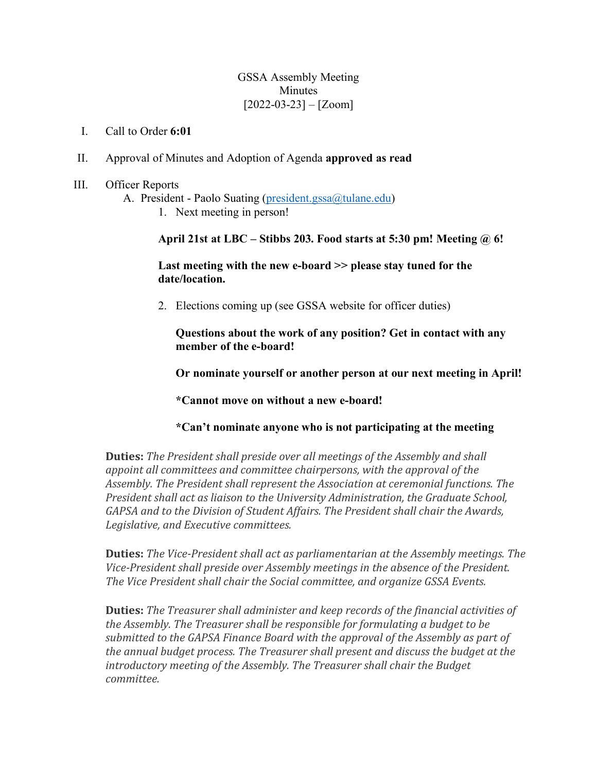#### GSSA Assembly Meeting Minutes  $[2022-03-23] - [Zoom]$

- I. Call to Order **6:01**
- II. Approval of Minutes and Adoption of Agenda **approved as read**
- III. Officer Reports
	- A. President Paolo Suating (president.gssa@tulane.edu)
		- 1. Next meeting in person!

**April 21st at LBC – Stibbs 203. Food starts at 5:30 pm! Meeting @ 6!**

**Last meeting with the new e-board >> please stay tuned for the date/location.**

2. Elections coming up (see GSSA website for officer duties)

**Questions about the work of any position? Get in contact with any member of the e-board!**

**Or nominate yourself or another person at our next meeting in April!**

**\*Cannot move on without a new e-board!** 

## **\*Can't nominate anyone who is not participating at the meeting**

**Duties:** The President shall preside over all meetings of the Assembly and shall *appoint all committees and committee chairpersons, with the approval of the* Assembly. The President shall represent the Association at ceremonial functions. The *President shall act as liaison to the University Administration, the Graduate School,* GAPSA and to the Division of Student Affairs. The President shall chair the Awards, *Legislative, and Executive committees.*

**Duties:** *The Vice-President shall act as parliamentarian at the Assembly meetings. The Vice-President shall preside over Assembly meetings in the absence of the President.* The Vice President shall chair the Social committee, and organize GSSA Events.

**Duties:** The Treasurer shall administer and keep records of the financial activities of *the Assembly. The Treasurer shall be responsible for formulating a budget to be* submitted to the GAPSA Finance Board with the approval of the Assembly as part of *the annual budget process. The Treasurer shall present and discuss the budget at the* introductory meeting of the Assembly. The Treasurer shall chair the Budget *committee.*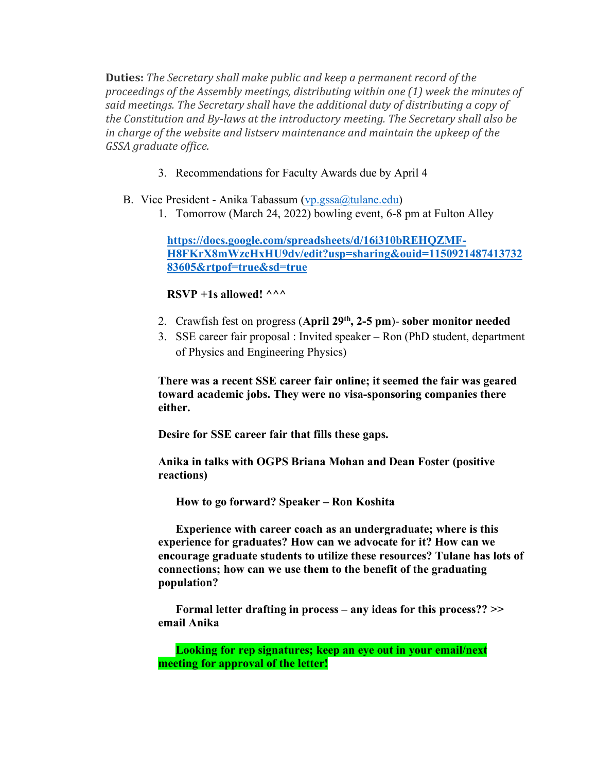**Duties:** The Secretary shall make public and keep a permanent record of the proceedings of the Assembly meetings, distributing within one (1) week the minutes of said meetings. The Secretary shall have the additional duty of distributing a copy of the Constitution and By-laws at the introductory meeting. The Secretary shall also be *in* charge of the website and listsery maintenance and maintain the upkeep of the *GSSA graduate office.*

- 3. Recommendations for Faculty Awards due by April 4
- B. Vice President Anika Tabassum (vp.gssa@tulane.edu)
	- 1. Tomorrow (March 24, 2022) bowling event, 6-8 pm at Fulton Alley

**https://docs.google.com/spreadsheets/d/16i310bREHQZMF-H8FKrX8mWzcHxHU9dv/edit?usp=sharing&ouid=1150921487413732 83605&rtpof=true&sd=true**

## **RSVP** +1s allowed!  $\wedge\wedge\wedge$

- 2. Crawfish fest on progress (**April 29th, 2-5 pm**)- **sober monitor needed**
- 3. SSE career fair proposal : Invited speaker Ron (PhD student, department of Physics and Engineering Physics)

**There was a recent SSE career fair online; it seemed the fair was geared toward academic jobs. They were no visa-sponsoring companies there either.** 

**Desire for SSE career fair that fills these gaps.** 

**Anika in talks with OGPS Briana Mohan and Dean Foster (positive reactions)**

**How to go forward? Speaker – Ron Koshita** 

**Experience with career coach as an undergraduate; where is this experience for graduates? How can we advocate for it? How can we encourage graduate students to utilize these resources? Tulane has lots of connections; how can we use them to the benefit of the graduating population?** 

**Formal letter drafting in process – any ideas for this process?? >> email Anika** 

**Looking for rep signatures; keep an eye out in your email/next meeting for approval of the letter!**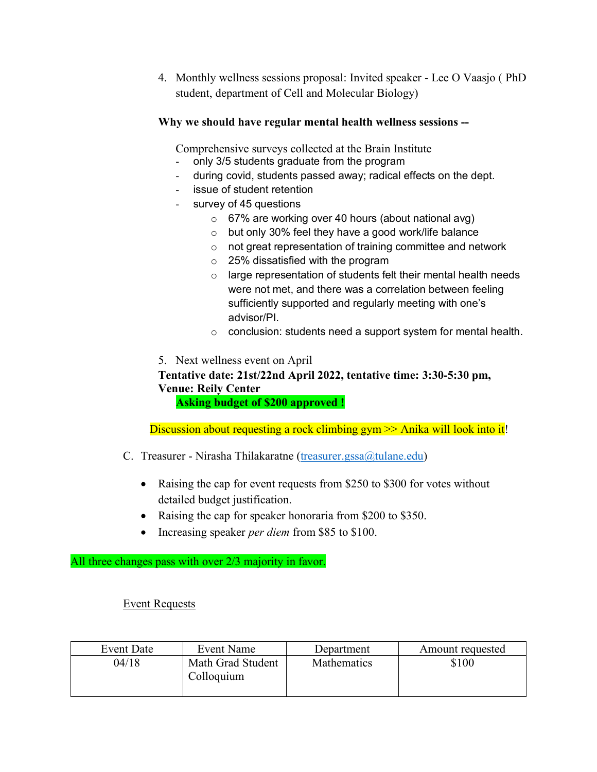4. Monthly wellness sessions proposal: Invited speaker - Lee O Vaasjo ( PhD student, department of Cell and Molecular Biology)

## **Why we should have regular mental health wellness sessions --**

Comprehensive surveys collected at the Brain Institute

- only 3/5 students graduate from the program
- during covid, students passed away; radical effects on the dept.
- issue of student retention
- survey of 45 questions
	- o 67% are working over 40 hours (about national avg)
	- o but only 30% feel they have a good work/life balance
	- o not great representation of training committee and network
	- $\circ$  25% dissatisfied with the program
	- $\circ$  large representation of students felt their mental health needs were not met, and there was a correlation between feeling sufficiently supported and regularly meeting with one's advisor/PI.
	- o conclusion: students need a support system for mental health.
- 5. Next wellness event on April

# **Tentative date: 21st/22nd April 2022, tentative time: 3:30-5:30 pm, Venue: Reily Center**

 **Asking budget of \$200 approved !**

Discussion about requesting a rock climbing gym  $\gg$  Anika will look into it!

- C. Treasurer Nirasha Thilakaratne (treasurer.gssa@tulane.edu)
	- Raising the cap for event requests from \$250 to \$300 for votes without detailed budget justification.
	- Raising the cap for speaker honoraria from \$200 to \$350.
	- Increasing speaker *per diem* from \$85 to \$100.

#### All three changes pass with over 2/3 majority in favor.

#### Event Requests

| Event Date | Event Name                      | Department         | Amount requested |
|------------|---------------------------------|--------------------|------------------|
| 04/18      | Math Grad Student<br>Colloquium | <b>Mathematics</b> | \$100            |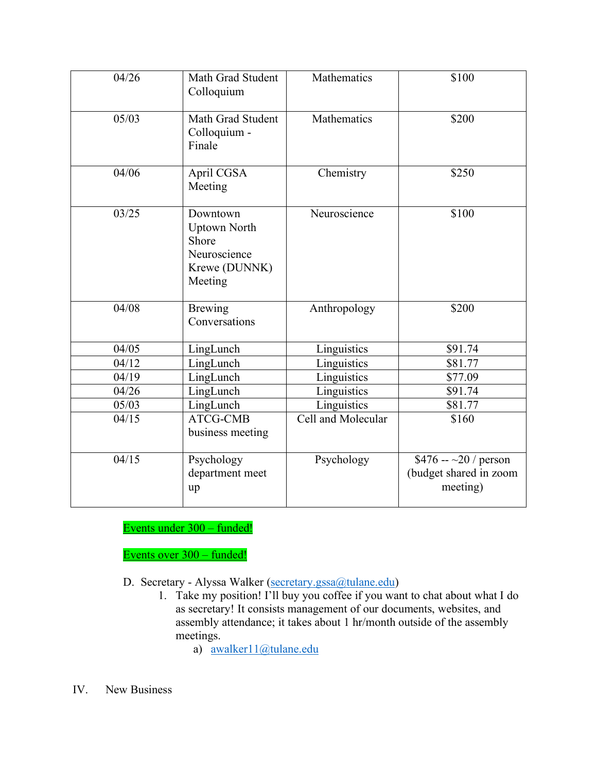| 04/26 | Math Grad Student<br>Colloquium                                                      | Mathematics        | \$100                                                             |
|-------|--------------------------------------------------------------------------------------|--------------------|-------------------------------------------------------------------|
| 05/03 | Math Grad Student<br>Colloquium -<br>Finale                                          | Mathematics        | \$200                                                             |
| 04/06 | April CGSA<br>Meeting                                                                | Chemistry          | \$250                                                             |
| 03/25 | Downtown<br><b>Uptown North</b><br>Shore<br>Neuroscience<br>Krewe (DUNNK)<br>Meeting | Neuroscience       | \$100                                                             |
| 04/08 | <b>Brewing</b><br>Conversations                                                      | Anthropology       | \$200                                                             |
| 04/05 | LingLunch                                                                            | Linguistics        | \$91.74                                                           |
| 04/12 | LingLunch                                                                            | Linguistics        | \$81.77                                                           |
| 04/19 | LingLunch                                                                            | Linguistics        | \$77.09                                                           |
| 04/26 | LingLunch                                                                            | Linguistics        | \$91.74                                                           |
| 05/03 | LingLunch                                                                            | Linguistics        | \$81.77                                                           |
| 04/15 | ATCG-CMB<br>business meeting                                                         | Cell and Molecular | \$160                                                             |
| 04/15 | Psychology<br>department meet<br>up                                                  | Psychology         | \$476 -- $\sim$ 20 / person<br>(budget shared in zoom<br>meeting) |

Events under 300 – funded!

Events over 300 – funded!

D. Secretary - Alyssa Walker (secretary.gssa@tulane.edu)

1. Take my position! I'll buy you coffee if you want to chat about what I do as secretary! It consists management of our documents, websites, and assembly attendance; it takes about 1 hr/month outside of the assembly meetings.

a) awalker11@tulane.edu

IV. New Business